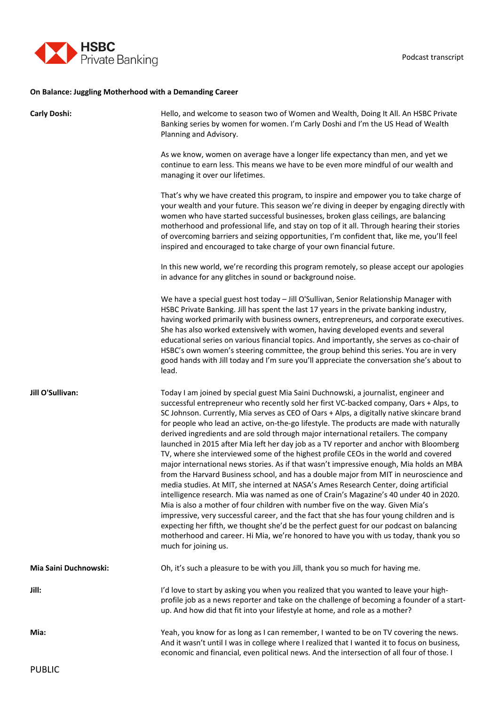

## **On Balance: Juggling Motherhood with a Demanding Career**

| <b>Carly Doshi:</b>   | Hello, and welcome to season two of Women and Wealth, Doing It All. An HSBC Private<br>Banking series by women for women. I'm Carly Doshi and I'm the US Head of Wealth<br>Planning and Advisory.                                                                                                                                                                                                                                                                                                                                                                                                                                                                                                                                                                                                                                                                                                                                                                                                                                                                                                                                                                                                                                                                                                                                                                                                              |
|-----------------------|----------------------------------------------------------------------------------------------------------------------------------------------------------------------------------------------------------------------------------------------------------------------------------------------------------------------------------------------------------------------------------------------------------------------------------------------------------------------------------------------------------------------------------------------------------------------------------------------------------------------------------------------------------------------------------------------------------------------------------------------------------------------------------------------------------------------------------------------------------------------------------------------------------------------------------------------------------------------------------------------------------------------------------------------------------------------------------------------------------------------------------------------------------------------------------------------------------------------------------------------------------------------------------------------------------------------------------------------------------------------------------------------------------------|
|                       | As we know, women on average have a longer life expectancy than men, and yet we<br>continue to earn less. This means we have to be even more mindful of our wealth and<br>managing it over our lifetimes.                                                                                                                                                                                                                                                                                                                                                                                                                                                                                                                                                                                                                                                                                                                                                                                                                                                                                                                                                                                                                                                                                                                                                                                                      |
|                       | That's why we have created this program, to inspire and empower you to take charge of<br>your wealth and your future. This season we're diving in deeper by engaging directly with<br>women who have started successful businesses, broken glass ceilings, are balancing<br>motherhood and professional life, and stay on top of it all. Through hearing their stories<br>of overcoming barriers and seizing opportunities, I'm confident that, like me, you'll feel<br>inspired and encouraged to take charge of your own financial future.                                                                                                                                                                                                                                                                                                                                                                                                                                                                                                                                                                                                                                                                                                                                                                                                                                                                   |
|                       | In this new world, we're recording this program remotely, so please accept our apologies<br>in advance for any glitches in sound or background noise.                                                                                                                                                                                                                                                                                                                                                                                                                                                                                                                                                                                                                                                                                                                                                                                                                                                                                                                                                                                                                                                                                                                                                                                                                                                          |
|                       | We have a special guest host today - Jill O'Sullivan, Senior Relationship Manager with<br>HSBC Private Banking. Jill has spent the last 17 years in the private banking industry,<br>having worked primarily with business owners, entrepreneurs, and corporate executives.<br>She has also worked extensively with women, having developed events and several<br>educational series on various financial topics. And importantly, she serves as co-chair of<br>HSBC's own women's steering committee, the group behind this series. You are in very<br>good hands with Jill today and I'm sure you'll appreciate the conversation she's about to<br>lead.                                                                                                                                                                                                                                                                                                                                                                                                                                                                                                                                                                                                                                                                                                                                                     |
| Jill O'Sullivan:      | Today I am joined by special guest Mia Saini Duchnowski, a journalist, engineer and<br>successful entrepreneur who recently sold her first VC-backed company, Oars + Alps, to<br>SC Johnson. Currently, Mia serves as CEO of Oars + Alps, a digitally native skincare brand<br>for people who lead an active, on-the-go lifestyle. The products are made with naturally<br>derived ingredients and are sold through major international retailers. The company<br>launched in 2015 after Mia left her day job as a TV reporter and anchor with Bloomberg<br>TV, where she interviewed some of the highest profile CEOs in the world and covered<br>major international news stories. As if that wasn't impressive enough, Mia holds an MBA<br>from the Harvard Business school, and has a double major from MIT in neuroscience and<br>media studies. At MIT, she interned at NASA's Ames Research Center, doing artificial<br>intelligence research. Mia was named as one of Crain's Magazine's 40 under 40 in 2020.<br>Mia is also a mother of four children with number five on the way. Given Mia's<br>impressive, very successful career, and the fact that she has four young children and is<br>expecting her fifth, we thought she'd be the perfect guest for our podcast on balancing<br>motherhood and career. Hi Mia, we're honored to have you with us today, thank you so<br>much for joining us. |
| Mia Saini Duchnowski: | Oh, it's such a pleasure to be with you Jill, thank you so much for having me.                                                                                                                                                                                                                                                                                                                                                                                                                                                                                                                                                                                                                                                                                                                                                                                                                                                                                                                                                                                                                                                                                                                                                                                                                                                                                                                                 |
| Jill:                 | I'd love to start by asking you when you realized that you wanted to leave your high-<br>profile job as a news reporter and take on the challenge of becoming a founder of a start-<br>up. And how did that fit into your lifestyle at home, and role as a mother?                                                                                                                                                                                                                                                                                                                                                                                                                                                                                                                                                                                                                                                                                                                                                                                                                                                                                                                                                                                                                                                                                                                                             |
| Mia:                  | Yeah, you know for as long as I can remember, I wanted to be on TV covering the news.<br>And it wasn't until I was in college where I realized that I wanted it to focus on business,<br>economic and financial, even political news. And the intersection of all four of those. I                                                                                                                                                                                                                                                                                                                                                                                                                                                                                                                                                                                                                                                                                                                                                                                                                                                                                                                                                                                                                                                                                                                             |
| <b>PUBLIC</b>         |                                                                                                                                                                                                                                                                                                                                                                                                                                                                                                                                                                                                                                                                                                                                                                                                                                                                                                                                                                                                                                                                                                                                                                                                                                                                                                                                                                                                                |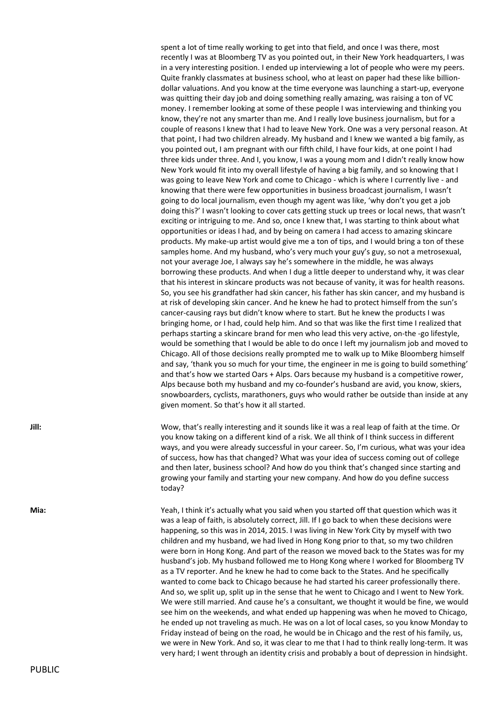spent a lot of time really working to get into that field, and once I was there, most recently I was at Bloomberg TV as you pointed out, in their New York headquarters, I was in a very interesting position. I ended up interviewing a lot of people who were my peers. Quite frankly classmates at business school, who at least on paper had these like billiondollar valuations. And you know at the time everyone was launching a start-up, everyone was quitting their day job and doing something really amazing, was raising a ton of VC money. I remember looking at some of these people I was interviewing and thinking you know, they're not any smarter than me. And I really love business journalism, but for a couple of reasons I knew that I had to leave New York. One was a very personal reason. At that point, I had two children already. My husband and I knew we wanted a big family, as you pointed out, I am pregnant with our fifth child, I have four kids, at one point I had three kids under three. And I, you know, I was a young mom and I didn't really know how New York would fit into my overall lifestyle of having a big family, and so knowing that I was going to leave New York and come to Chicago - which is where I currently live - and knowing that there were few opportunities in business broadcast journalism, I wasn't going to do local journalism, even though my agent was like, 'why don't you get a job doing this?' I wasn't looking to cover cats getting stuck up trees or local news, that wasn't exciting or intriguing to me. And so, once I knew that, I was starting to think about what opportunities or ideas I had, and by being on camera I had access to amazing skincare products. My make-up artist would give me a ton of tips, and I would bring a ton of these samples home. And my husband, who's very much your guy's guy, so not a metrosexual, not your average Joe, I always say he's somewhere in the middle, he was always borrowing these products. And when I dug a little deeper to understand why, it was clear that his interest in skincare products was not because of vanity, it was for health reasons. So, you see his grandfather had skin cancer, his father has skin cancer, and my husband is at risk of developing skin cancer. And he knew he had to protect himself from the sun's cancer-causing rays but didn't know where to start. But he knew the products I was bringing home, or I had, could help him. And so that was like the first time I realized that perhaps starting a skincare brand for men who lead this very active, on-the -go lifestyle, would be something that I would be able to do once I left my journalism job and moved to Chicago. All of those decisions really prompted me to walk up to Mike Bloomberg himself and say, 'thank you so much for your time, the engineer in me is going to build something' and that's how we started Oars + Alps. Oars because my husband is a competitive rower, Alps because both my husband and my co-founder's husband are avid, you know, skiers, snowboarders, cyclists, marathoners, guys who would rather be outside than inside at any given moment. So that's how it all started.

**Jill:** Wow, that's really interesting and it sounds like it was a real leap of faith at the time. Or you know taking on a different kind of a risk. We all think of I think success in different ways, and you were already successful in your career. So, I'm curious, what was your idea of success, how has that changed? What was your idea of success coming out of college and then later, business school? And how do you think that's changed since starting and growing your family and starting your new company. And how do you define success today?

**Mia:** Yeah, I think it's actually what you said when you started off that question which was it was a leap of faith, is absolutely correct, Jill. If I go back to when these decisions were happening, so this was in 2014, 2015. I was living in New York City by myself with two children and my husband, we had lived in Hong Kong prior to that, so my two children were born in Hong Kong. And part of the reason we moved back to the States was for my husband's job. My husband followed me to Hong Kong where I worked for Bloomberg TV as a TV reporter. And he knew he had to come back to the States. And he specifically wanted to come back to Chicago because he had started his career professionally there. And so, we split up, split up in the sense that he went to Chicago and I went to New York. We were still married. And cause he's a consultant, we thought it would be fine, we would see him on the weekends, and what ended up happening was when he moved to Chicago, he ended up not traveling as much. He was on a lot of local cases, so you know Monday to Friday instead of being on the road, he would be in Chicago and the rest of his family, us, we were in New York. And so, it was clear to me that I had to think really long-term. It was very hard; I went through an identity crisis and probably a bout of depression in hindsight.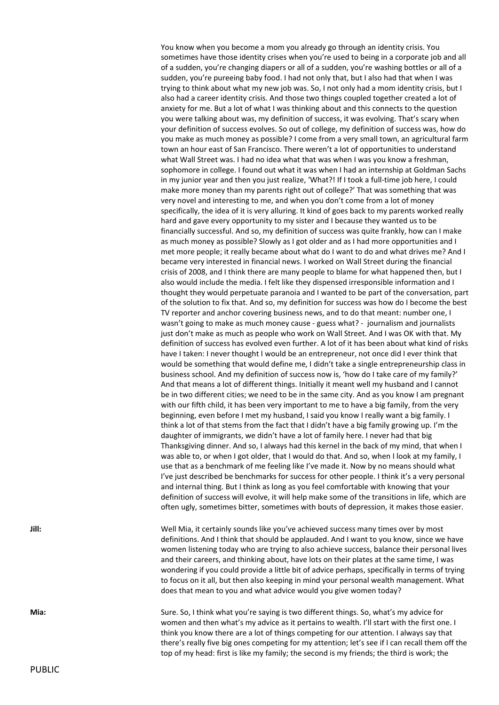You know when you become a mom you already go through an identity crisis. You sometimes have those identity crises when you're used to being in a corporate job and all of a sudden, you're changing diapers or all of a sudden, you're washing bottles or all of a sudden, you're pureeing baby food. I had not only that, but I also had that when I was trying to think about what my new job was. So, I not only had a mom identity crisis, but I also had a career identity crisis. And those two things coupled together created a lot of anxiety for me. But a lot of what I was thinking about and this connects to the question you were talking about was, my definition of success, it was evolving. That's scary when your definition of success evolves. So out of college, my definition of success was, how do you make as much money as possible? I come from a very small town, an agricultural farm town an hour east of San Francisco. There weren't a lot of opportunities to understand what Wall Street was. I had no idea what that was when I was you know a freshman, sophomore in college. I found out what it was when I had an internship at Goldman Sachs in my junior year and then you just realize, 'What?! If I took a full-time job here, I could make more money than my parents right out of college?' That was something that was very novel and interesting to me, and when you don't come from a lot of money specifically, the idea of it is very alluring. It kind of goes back to my parents worked really hard and gave every opportunity to my sister and I because they wanted us to be financially successful. And so, my definition of success was quite frankly, how can I make as much money as possible? Slowly as I got older and as I had more opportunities and I met more people; it really became about what do I want to do and what drives me? And I became very interested in financial news. I worked on Wall Street during the financial crisis of 2008, and I think there are many people to blame for what happened then, but I also would include the media. I felt like they dispensed irresponsible information and I thought they would perpetuate paranoia and I wanted to be part of the conversation, part of the solution to fix that. And so, my definition for success was how do I become the best TV reporter and anchor covering business news, and to do that meant: number one, I wasn't going to make as much money cause - guess what? - journalism and journalists just don't make as much as people who work on Wall Street. And I was OK with that. My definition of success has evolved even further. A lot of it has been about what kind of risks have I taken: I never thought I would be an entrepreneur, not once did I ever think that would be something that would define me, I didn't take a single entrepreneurship class in business school. And my definition of success now is, 'how do I take care of my family?' And that means a lot of different things. Initially it meant well my husband and I cannot be in two different cities; we need to be in the same city. And as you know I am pregnant with our fifth child, it has been very important to me to have a big family, from the very beginning, even before I met my husband, I said you know I really want a big family. I think a lot of that stems from the fact that I didn't have a big family growing up. I'm the daughter of immigrants, we didn't have a lot of family here. I never had that big Thanksgiving dinner. And so, I always had this kernel in the back of my mind, that when I was able to, or when I got older, that I would do that. And so, when I look at my family, I use that as a benchmark of me feeling like I've made it. Now by no means should what I've just described be benchmarks for success for other people. I think it's a very personal and internal thing. But I think as long as you feel comfortable with knowing that your definition of success will evolve, it will help make some of the transitions in life, which are often ugly, sometimes bitter, sometimes with bouts of depression, it makes those easier.

**Jill:** Well Mia, it certainly sounds like you've achieved success many times over by most definitions. And I think that should be applauded. And I want to you know, since we have women listening today who are trying to also achieve success, balance their personal lives and their careers, and thinking about, have lots on their plates at the same time, I was wondering if you could provide a little bit of advice perhaps, specifically in terms of trying to focus on it all, but then also keeping in mind your personal wealth management. What does that mean to you and what advice would you give women today?

**Mia:** Sure. So, I think what you're saying is two different things. So, what's my advice for women and then what's my advice as it pertains to wealth. I'll start with the first one. I think you know there are a lot of things competing for our attention. I always say that there's really five big ones competing for my attention; let's see if I can recall them off the top of my head: first is like my family; the second is my friends; the third is work; the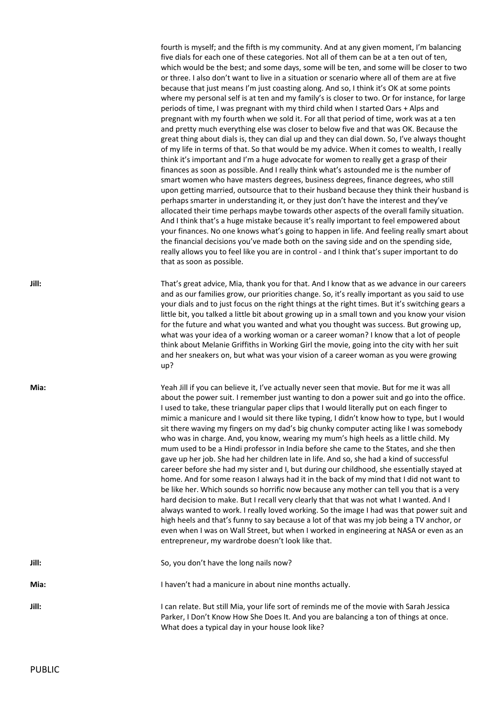fourth is myself; and the fifth is my community. And at any given moment, I'm balancing five dials for each one of these categories. Not all of them can be at a ten out of ten, which would be the best; and some days, some will be ten, and some will be closer to two or three. I also don't want to live in a situation or scenario where all of them are at five because that just means I'm just coasting along. And so, I think it's OK at some points where my personal self is at ten and my family's is closer to two. Or for instance, for large periods of time, I was pregnant with my third child when I started Oars + Alps and pregnant with my fourth when we sold it. For all that period of time, work was at a ten and pretty much everything else was closer to below five and that was OK. Because the great thing about dials is, they can dial up and they can dial down. So, I've always thought of my life in terms of that. So that would be my advice. When it comes to wealth, I really think it's important and I'm a huge advocate for women to really get a grasp of their finances as soon as possible. And I really think what's astounded me is the number of smart women who have masters degrees, business degrees, finance degrees, who still upon getting married, outsource that to their husband because they think their husband is perhaps smarter in understanding it, or they just don't have the interest and they've allocated their time perhaps maybe towards other aspects of the overall family situation. And I think that's a huge mistake because it's really important to feel empowered about your finances. No one knows what's going to happen in life. And feeling really smart about the financial decisions you've made both on the saving side and on the spending side, really allows you to feel like you are in control - and I think that's super important to do that as soon as possible.

**Jill:** That's great advice, Mia, thank you for that. And I know that as we advance in our careers and as our families grow, our priorities change. So, it's really important as you said to use your dials and to just focus on the right things at the right times. But it's switching gears a little bit, you talked a little bit about growing up in a small town and you know your vision for the future and what you wanted and what you thought was success. But growing up, what was your idea of a working woman or a career woman? I know that a lot of people think about Melanie Griffiths in Working Girl the movie, going into the city with her suit and her sneakers on, but what was your vision of a career woman as you were growing up?

**Mia:** Yeah Jill if you can believe it, I've actually never seen that movie. But for me it was all about the power suit. I remember just wanting to don a power suit and go into the office. I used to take, these triangular paper clips that I would literally put on each finger to mimic a manicure and I would sit there like typing, I didn't know how to type, but I would sit there waving my fingers on my dad's big chunky computer acting like I was somebody who was in charge. And, you know, wearing my mum's high heels as a little child. My mum used to be a Hindi professor in India before she came to the States, and she then gave up her job. She had her children late in life. And so, she had a kind of successful career before she had my sister and I, but during our childhood, she essentially stayed at home. And for some reason I always had it in the back of my mind that I did not want to be like her. Which sounds so horrific now because any mother can tell you that is a very hard decision to make. But I recall very clearly that that was not what I wanted. And I always wanted to work. I really loved working. So the image I had was that power suit and high heels and that's funny to say because a lot of that was my job being a TV anchor, or even when I was on Wall Street, but when I worked in engineering at NASA or even as an entrepreneur, my wardrobe doesn't look like that.

**Jill:** So, you don't have the long nails now?

**Mia:** I haven't had a manicure in about nine months actually.

Jill: I can relate. But still Mia, your life sort of reminds me of the movie with Sarah Jessica Parker, I Don't Know How She Does It. And you are balancing a ton of things at once. What does a typical day in your house look like?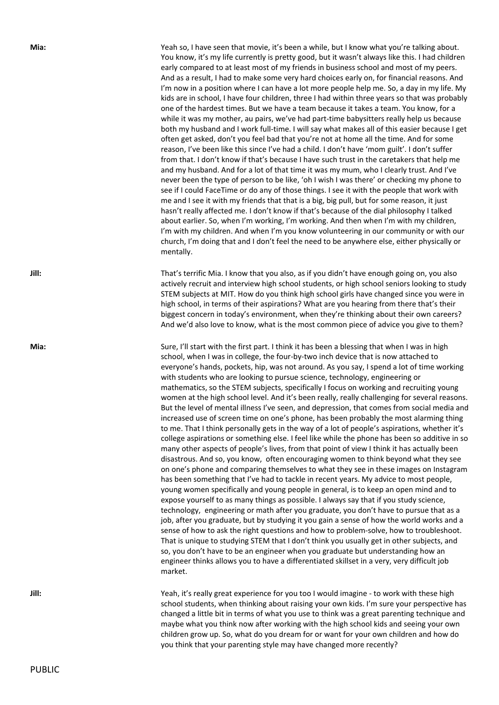**Mia:** Yeah so, I have seen that movie, it's been a while, but I know what you're talking about.

see if I could FaceTime or do any of those things. I see it with the people that work with me and I see it with my friends that that is a big, big pull, but for some reason, it just hasn't really affected me. I don't know if that's because of the dial philosophy I talked about earlier. So, when I'm working, I'm working. And then when I'm with my children, I'm with my children. And when I'm you know volunteering in our community or with our church, I'm doing that and I don't feel the need to be anywhere else, either physically or mentally. **Jill:** That's terrific Mia. I know that you also, as if you didn't have enough going on, you also actively recruit and interview high school students, or high school seniors looking to study STEM subjects at MIT. How do you think high school girls have changed since you were in high school, in terms of their aspirations? What are you hearing from there that's their

**Mia:** Sure, I'll start with the first part. I think it has been a blessing that when I was in high school, when I was in college, the four-by-two inch device that is now attached to everyone's hands, pockets, hip, was not around. As you say, I spend a lot of time working with students who are looking to pursue science, technology, engineering or mathematics, so the STEM subjects, specifically I focus on working and recruiting young women at the high school level. And it's been really, really challenging for several reasons. But the level of mental illness I've seen, and depression, that comes from social media and increased use of screen time on one's phone, has been probably the most alarming thing to me. That I think personally gets in the way of a lot of people's aspirations, whether it's college aspirations or something else. I feel like while the phone has been so additive in so many other aspects of people's lives, from that point of view I think it has actually been disastrous. And so, you know, often encouraging women to think beyond what they see on one's phone and comparing themselves to what they see in these images on Instagram has been something that I've had to tackle in recent years. My advice to most people, young women specifically and young people in general, is to keep an open mind and to expose yourself to as many things as possible. I always say that if you study science, technology, engineering or math after you graduate, you don't have to pursue that as a job, after you graduate, but by studying it you gain a sense of how the world works and a sense of how to ask the right questions and how to problem-solve, how to troubleshoot. That is unique to studying STEM that I don't think you usually get in other subjects, and so, you don't have to be an engineer when you graduate but understanding how an engineer thinks allows you to have a differentiated skillset in a very, very difficult job market.

biggest concern in today's environment, when they're thinking about their own careers? And we'd also love to know, what is the most common piece of advice you give to them?

You know, it's my life currently is pretty good, but it wasn't always like this. I had children early compared to at least most of my friends in business school and most of my peers. And as a result, I had to make some very hard choices early on, for financial reasons. And I'm now in a position where I can have a lot more people help me. So, a day in my life. My kids are in school, I have four children, three I had within three years so that was probably one of the hardest times. But we have a team because it takes a team. You know, for a while it was my mother, au pairs, we've had part-time babysitters really help us because both my husband and I work full-time. I will say what makes all of this easier because I get often get asked, don't you feel bad that you're not at home all the time. And for some reason, I've been like this since I've had a child. I don't have 'mom guilt'. I don't suffer from that. I don't know if that's because I have such trust in the caretakers that help me and my husband. And for a lot of that time it was my mum, who I clearly trust. And I've never been the type of person to be like, 'oh I wish I was there' or checking my phone to

**Jill:** Yeah, it's really great experience for you too I would imagine - to work with these high school students, when thinking about raising your own kids. I'm sure your perspective has changed a little bit in terms of what you use to think was a great parenting technique and maybe what you think now after working with the high school kids and seeing your own children grow up. So, what do you dream for or want for your own children and how do you think that your parenting style may have changed more recently?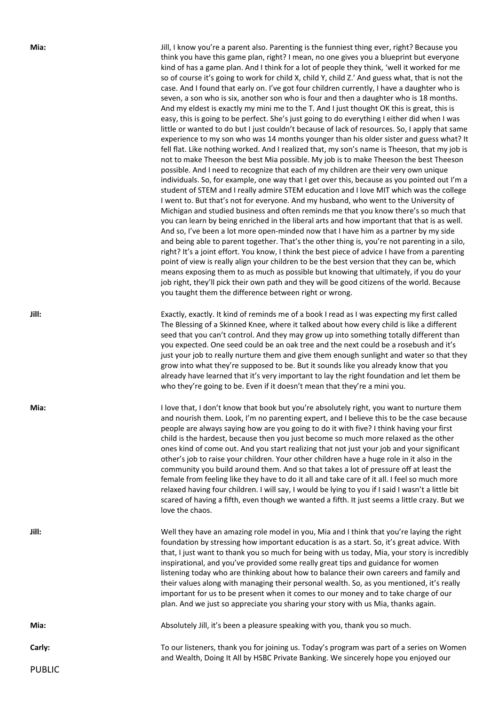**Mia:** Jill, I know you're a parent also. Parenting is the funniest thing ever, right? Because you think you have this game plan, right? I mean, no one gives you a blueprint but everyone kind of has a game plan. And I think for a lot of people they think, 'well it worked for me so of course it's going to work for child X, child Y, child Z.' And guess what, that is not the case. And I found that early on. I've got four children currently, I have a daughter who is seven, a son who is six, another son who is four and then a daughter who is 18 months. And my eldest is exactly my mini me to the T. And I just thought OK this is great, this is easy, this is going to be perfect. She's just going to do everything I either did when I was little or wanted to do but I just couldn't because of lack of resources. So, I apply that same experience to my son who was 14 months younger than his older sister and guess what? It fell flat. Like nothing worked. And I realized that, my son's name is Theeson, that my job is not to make Theeson the best Mia possible. My job is to make Theeson the best Theeson possible. And I need to recognize that each of my children are their very own unique individuals. So, for example, one way that I get over this, because as you pointed out I'm a student of STEM and I really admire STEM education and I love MIT which was the college I went to. But that's not for everyone. And my husband, who went to the University of Michigan and studied business and often reminds me that you know there's so much that you can learn by being enriched in the liberal arts and how important that that is as well. And so, I've been a lot more open-minded now that I have him as a partner by my side and being able to parent together. That's the other thing is, you're not parenting in a silo, right? It's a joint effort. You know, I think the best piece of advice I have from a parenting point of view is really align your children to be the best version that they can be, which means exposing them to as much as possible but knowing that ultimately, if you do your job right, they'll pick their own path and they will be good citizens of the world. Because you taught them the difference between right or wrong.

**Jill:** Exactly, exactly. It kind of reminds me of a book I read as I was expecting my first called The Blessing of a Skinned Knee, where it talked about how every child is like a different seed that you can't control. And they may grow up into something totally different than you expected. One seed could be an oak tree and the next could be a rosebush and it's just your job to really nurture them and give them enough sunlight and water so that they grow into what they're supposed to be. But it sounds like you already know that you already have learned that it's very important to lay the right foundation and let them be who they're going to be. Even if it doesn't mean that they're a mini you.

**Mia:** Mia: I love that, I don't know that book but you're absolutely right, you want to nurture them and nourish them. Look, I'm no parenting expert, and I believe this to be the case because people are always saying how are you going to do it with five? I think having your first child is the hardest, because then you just become so much more relaxed as the other ones kind of come out. And you start realizing that not just your job and your significant other's job to raise your children. Your other children have a huge role in it also in the community you build around them. And so that takes a lot of pressure off at least the female from feeling like they have to do it all and take care of it all. I feel so much more relaxed having four children. I will say, I would be lying to you if I said I wasn't a little bit scared of having a fifth, even though we wanted a fifth. It just seems a little crazy. But we love the chaos.

**Jill:** Well they have an amazing role model in you, Mia and I think that you're laying the right foundation by stressing how important education is as a start. So, it's great advice. With that, I just want to thank you so much for being with us today, Mia, your story is incredibly inspirational, and you've provided some really great tips and guidance for women listening today who are thinking about how to balance their own careers and family and their values along with managing their personal wealth. So, as you mentioned, it's really important for us to be present when it comes to our money and to take charge of our plan. And we just so appreciate you sharing your story with us Mia, thanks again.

**Mia:** Absolutely Jill, it's been a pleasure speaking with you, thank you so much.

**Carly: Carly:** To our listeners, thank you for joining us. Today's program was part of a series on Women and Wealth, Doing It All by HSBC Private Banking. We sincerely hope you enjoyed our

PUBLIC